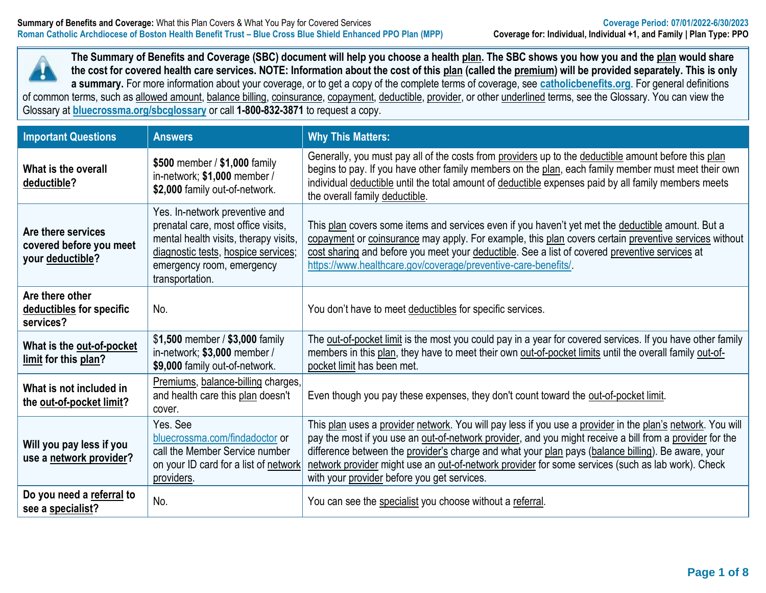

**The Summary of Benefits and Coverage (SBC) document will help you choose a health plan. The SBC shows you how you and the plan would share the cost for covered health care services. NOTE: Information about the cost of this plan (called the premium) will be provided separately. This is only a summary.** For more information about your coverage, or to get a copy of the complete terms of coverage, see **[catholicbenefits.org](http://catholicbenefits.org/)**. For general definitions of common terms, such as allowed amount, balance billing, coinsurance, copayment, deductible, provider, or other underlined terms, see the Glossary. You can view the

Glossary at **[bluecrossma.org/sbcglossary](https://home.bluecrossma.com/collateral/sites/g/files/csphws1571/files/acquiadam-assets/55-0382_SBC_Glossary_Medical_Terms.pdf)** or call **1-800-832-3871** to request a copy.

| <b>Important Questions</b>                                        | <b>Answers</b>                                                                                                                                                                                       | <b>Why This Matters:</b>                                                                                                                                                                                                                                                                                                                                                                                                                                                         |
|-------------------------------------------------------------------|------------------------------------------------------------------------------------------------------------------------------------------------------------------------------------------------------|----------------------------------------------------------------------------------------------------------------------------------------------------------------------------------------------------------------------------------------------------------------------------------------------------------------------------------------------------------------------------------------------------------------------------------------------------------------------------------|
| What is the overall<br>deductible?                                | \$500 member / \$1,000 family<br>in-network; \$1,000 member /<br>\$2,000 family out-of-network.                                                                                                      | Generally, you must pay all of the costs from providers up to the deductible amount before this plan<br>begins to pay. If you have other family members on the plan, each family member must meet their own<br>individual deductible until the total amount of deductible expenses paid by all family members meets<br>the overall family deductible.                                                                                                                            |
| Are there services<br>covered before you meet<br>your deductible? | Yes. In-network preventive and<br>prenatal care, most office visits,<br>mental health visits, therapy visits,<br>diagnostic tests, hospice services;<br>emergency room, emergency<br>transportation. | This plan covers some items and services even if you haven't yet met the deductible amount. But a<br>copayment or coinsurance may apply. For example, this plan covers certain preventive services without<br>cost sharing and before you meet your deductible. See a list of covered preventive services at<br>https://www.healthcare.gov/coverage/preventive-care-benefits/                                                                                                    |
| Are there other<br>deductibles for specific<br>services?          | No.                                                                                                                                                                                                  | You don't have to meet deductibles for specific services.                                                                                                                                                                                                                                                                                                                                                                                                                        |
| What is the out-of-pocket<br>limit for this plan?                 | \$1,500 member / \$3,000 family<br>in-network; \$3,000 member /<br>\$9,000 family out-of-network.                                                                                                    | The out-of-pocket limit is the most you could pay in a year for covered services. If you have other family<br>members in this plan, they have to meet their own out-of-pocket limits until the overall family out-of-<br>pocket limit has been met.                                                                                                                                                                                                                              |
| What is not included in<br>the out-of-pocket limit?               | Premiums, balance-billing charges,<br>and health care this plan doesn't<br>cover.                                                                                                                    | Even though you pay these expenses, they don't count toward the out-of-pocket limit.                                                                                                                                                                                                                                                                                                                                                                                             |
| Will you pay less if you<br>use a network provider?               | Yes. See<br>bluecrossma.com/findadoctor or<br>call the Member Service number<br>on your ID card for a list of network<br>providers.                                                                  | This plan uses a provider network. You will pay less if you use a provider in the plan's network. You will<br>pay the most if you use an out-of-network provider, and you might receive a bill from a provider for the<br>difference between the provider's charge and what your plan pays (balance billing). Be aware, your<br>network provider might use an out-of-network provider for some services (such as lab work). Check<br>with your provider before you get services. |
| Do you need a referral to<br>see a specialist?                    | No.                                                                                                                                                                                                  | You can see the specialist you choose without a referral.                                                                                                                                                                                                                                                                                                                                                                                                                        |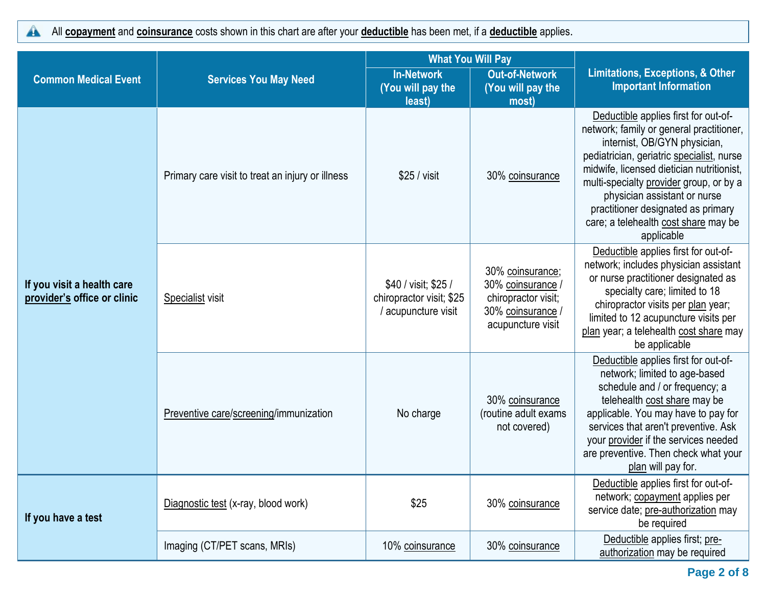All **copayment** and **coinsurance** costs shown in this chart are after your **deductible** has been met, if a **deductible** applies.  $\blacktriangle$ 

|                                                           |                                                  | <b>What You Will Pay</b>                                                |                                                                                                      |                                                                                                                                                                                                                                                                                                                                                                                   |  |
|-----------------------------------------------------------|--------------------------------------------------|-------------------------------------------------------------------------|------------------------------------------------------------------------------------------------------|-----------------------------------------------------------------------------------------------------------------------------------------------------------------------------------------------------------------------------------------------------------------------------------------------------------------------------------------------------------------------------------|--|
| <b>Common Medical Event</b>                               | <b>Services You May Need</b>                     | <b>In-Network</b><br>(You will pay the<br>least)                        | <b>Out-of-Network</b><br>(You will pay the<br>most)                                                  | <b>Limitations, Exceptions, &amp; Other</b><br><b>Important Information</b>                                                                                                                                                                                                                                                                                                       |  |
|                                                           | Primary care visit to treat an injury or illness | \$25 / visit                                                            | 30% coinsurance                                                                                      | Deductible applies first for out-of-<br>network; family or general practitioner,<br>internist, OB/GYN physician,<br>pediatrician, geriatric specialist, nurse<br>midwife, licensed dietician nutritionist,<br>multi-specialty provider group, or by a<br>physician assistant or nurse<br>practitioner designated as primary<br>care; a telehealth cost share may be<br>applicable |  |
| If you visit a health care<br>provider's office or clinic | Specialist visit                                 | \$40 / visit; \$25 /<br>chiropractor visit; \$25<br>/ acupuncture visit | 30% coinsurance;<br>30% coinsurance /<br>chiropractor visit;<br>30% coinsurance<br>acupuncture visit | Deductible applies first for out-of-<br>network; includes physician assistant<br>or nurse practitioner designated as<br>specialty care; limited to 18<br>chiropractor visits per plan year;<br>limited to 12 acupuncture visits per<br>plan year; a telehealth cost share may<br>be applicable                                                                                    |  |
|                                                           | Preventive care/screening/immunization           | No charge                                                               | 30% coinsurance<br>(routine adult exams<br>not covered)                                              | Deductible applies first for out-of-<br>network; limited to age-based<br>schedule and / or frequency; a<br>telehealth cost share may be<br>applicable. You may have to pay for<br>services that aren't preventive. Ask<br>your provider if the services needed<br>are preventive. Then check what your<br>plan will pay for.                                                      |  |
| If you have a test                                        | Diagnostic test (x-ray, blood work)              | \$25                                                                    | 30% coinsurance                                                                                      | Deductible applies first for out-of-<br>network; copayment applies per<br>service date; pre-authorization may<br>be required                                                                                                                                                                                                                                                      |  |
|                                                           | Imaging (CT/PET scans, MRIs)                     | 10% coinsurance                                                         | 30% coinsurance                                                                                      | Deductible applies first; pre-<br>authorization may be required                                                                                                                                                                                                                                                                                                                   |  |

**Page 2 of 8**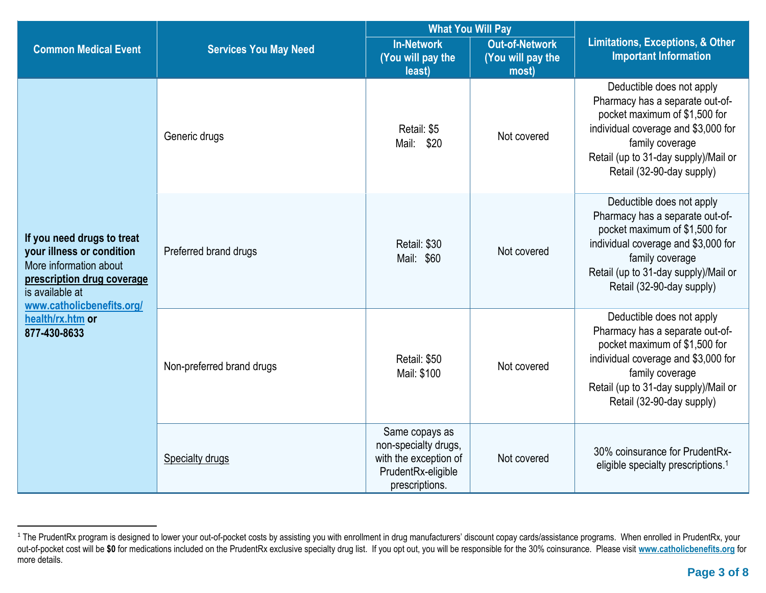|                                                                                                                                                                 |                                                                    | <b>What You Will Pay</b>                                                                                               |                                                     |                                                                                                                                                                                                                              |  |
|-----------------------------------------------------------------------------------------------------------------------------------------------------------------|--------------------------------------------------------------------|------------------------------------------------------------------------------------------------------------------------|-----------------------------------------------------|------------------------------------------------------------------------------------------------------------------------------------------------------------------------------------------------------------------------------|--|
| <b>Common Medical Event</b>                                                                                                                                     | <b>Services You May Need</b>                                       | <b>In-Network</b><br>(You will pay the<br>least)                                                                       | <b>Out-of-Network</b><br>(You will pay the<br>most) | <b>Limitations, Exceptions, &amp; Other</b><br><b>Important Information</b>                                                                                                                                                  |  |
|                                                                                                                                                                 | Generic drugs                                                      | Retail: \$5<br>Mail: \$20                                                                                              | Not covered                                         | Deductible does not apply<br>Pharmacy has a separate out-of-<br>pocket maximum of \$1,500 for<br>individual coverage and \$3,000 for<br>family coverage<br>Retail (up to 31-day supply)/Mail or<br>Retail (32-90-day supply) |  |
| If you need drugs to treat<br>your illness or condition<br>More information about<br>prescription drug coverage<br>is available at<br>www.catholicbenefits.org/ | Retail: \$30<br>Preferred brand drugs<br>Not covered<br>Mail: \$60 |                                                                                                                        |                                                     | Deductible does not apply<br>Pharmacy has a separate out-of-<br>pocket maximum of \$1,500 for<br>individual coverage and \$3,000 for<br>family coverage<br>Retail (up to 31-day supply)/Mail or<br>Retail (32-90-day supply) |  |
| health/rx.htm or<br>877-430-8633                                                                                                                                | Non-preferred brand drugs                                          | Retail: \$50<br>Mail: \$100                                                                                            | Not covered                                         | Deductible does not apply<br>Pharmacy has a separate out-of-<br>pocket maximum of \$1,500 for<br>individual coverage and \$3,000 for<br>family coverage<br>Retail (up to 31-day supply)/Mail or<br>Retail (32-90-day supply) |  |
|                                                                                                                                                                 | <b>Specialty drugs</b>                                             | Same copays as<br>non-specialty drugs,<br>with the exception of<br>Not covered<br>PrudentRx-eligible<br>prescriptions. |                                                     | 30% coinsurance for PrudentRx-<br>eligible specialty prescriptions. <sup>1</sup>                                                                                                                                             |  |

<sup>&</sup>lt;sup>1</sup> The PrudentRx program is designed to lower your out-of-pocket costs by assisting you with enrollment in drug manufacturers' discount copay cards/assistance programs. When enrolled in PrudentRx, your out-of-pocket cost will be **\$0** for medications included on the PrudentRx exclusive specialty drug list. If you opt out, you will be responsible for the 30% coinsurance. Please visit **[www.catholicbenefits.org](http://www.catholicbenefits.org/)** for more details.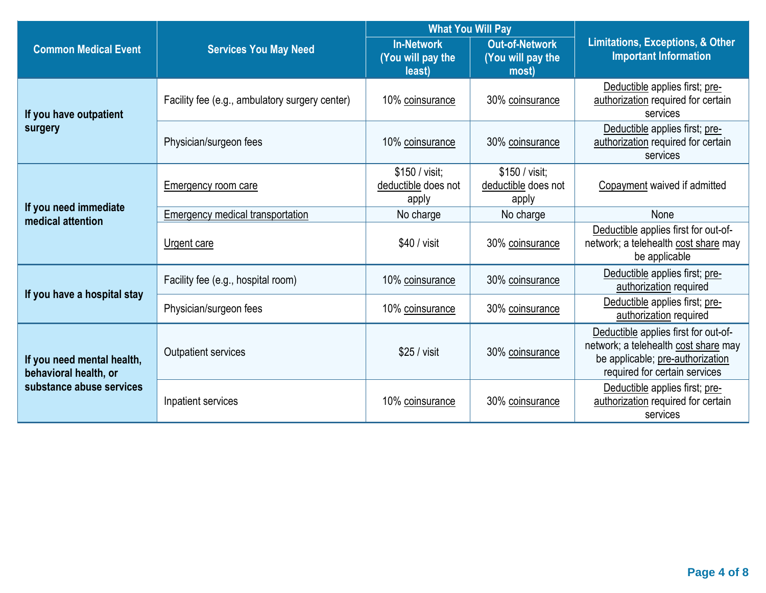|                                                     |                                                | <b>What You Will Pay</b>                         |                                                     |                                                                                                                                                   |  |
|-----------------------------------------------------|------------------------------------------------|--------------------------------------------------|-----------------------------------------------------|---------------------------------------------------------------------------------------------------------------------------------------------------|--|
| <b>Common Medical Event</b>                         | <b>Services You May Need</b>                   | <b>In-Network</b><br>(You will pay the<br>least) | <b>Out-of-Network</b><br>(You will pay the<br>most) | <b>Limitations, Exceptions, &amp; Other</b><br><b>Important Information</b>                                                                       |  |
| If you have outpatient                              | Facility fee (e.g., ambulatory surgery center) | 10% coinsurance                                  | 30% coinsurance                                     | Deductible applies first; pre-<br>authorization required for certain<br>services                                                                  |  |
| surgery                                             | Physician/surgeon fees                         | 10% coinsurance                                  | 30% coinsurance                                     | Deductible applies first; pre-<br>authorization required for certain<br>services                                                                  |  |
|                                                     | Emergency room care                            | \$150 / visit:<br>deductible does not<br>apply   | \$150 / visit:<br>deductible does not<br>apply      | Copayment waived if admitted                                                                                                                      |  |
| If you need immediate<br>medical attention          | Emergency medical transportation               | No charge                                        | No charge                                           | None                                                                                                                                              |  |
|                                                     | Urgent care                                    | $$40 /$ visit                                    | 30% coinsurance                                     | Deductible applies first for out-of-<br>network; a telehealth cost share may<br>be applicable                                                     |  |
| If you have a hospital stay                         | Facility fee (e.g., hospital room)             | 10% coinsurance                                  | 30% coinsurance                                     | Deductible applies first; pre-<br>authorization required                                                                                          |  |
|                                                     | Physician/surgeon fees                         | 10% coinsurance                                  | 30% coinsurance                                     | Deductible applies first; pre-<br>authorization required                                                                                          |  |
| If you need mental health,<br>behavioral health, or | Outpatient services                            | \$25 / <i>visit</i><br>30% coinsurance           |                                                     | Deductible applies first for out-of-<br>network; a telehealth cost share may<br>be applicable; pre-authorization<br>required for certain services |  |
| substance abuse services                            | Inpatient services                             | 10% coinsurance                                  | 30% coinsurance                                     | Deductible applies first; pre-<br>authorization required for certain<br>services                                                                  |  |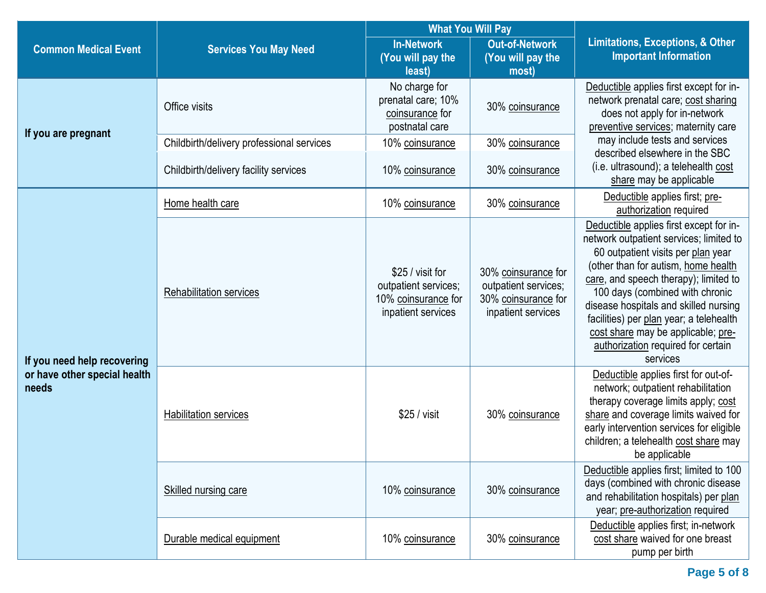|                                       |                                           |                                                                                       | <b>What You Will Pay</b>                                                                 |                                                                                                                                                                                                                                                                                                                                                                                                                         |  |
|---------------------------------------|-------------------------------------------|---------------------------------------------------------------------------------------|------------------------------------------------------------------------------------------|-------------------------------------------------------------------------------------------------------------------------------------------------------------------------------------------------------------------------------------------------------------------------------------------------------------------------------------------------------------------------------------------------------------------------|--|
| <b>Common Medical Event</b>           | <b>Services You May Need</b>              | <b>In-Network</b><br>(You will pay the<br>least)                                      | <b>Out-of-Network</b><br>(You will pay the<br>most)                                      | <b>Limitations, Exceptions, &amp; Other</b><br><b>Important Information</b>                                                                                                                                                                                                                                                                                                                                             |  |
| If you are pregnant                   | Office visits                             | No charge for<br>prenatal care; 10%<br>coinsurance for<br>postnatal care              | 30% coinsurance                                                                          | Deductible applies first except for in-<br>network prenatal care; cost sharing<br>does not apply for in-network<br>preventive services; maternity care                                                                                                                                                                                                                                                                  |  |
|                                       | Childbirth/delivery professional services | 10% coinsurance                                                                       | 30% coinsurance                                                                          | may include tests and services                                                                                                                                                                                                                                                                                                                                                                                          |  |
|                                       | Childbirth/delivery facility services     | 10% coinsurance                                                                       | 30% coinsurance                                                                          | described elsewhere in the SBC<br>(i.e. ultrasound); a telehealth cost<br>share may be applicable                                                                                                                                                                                                                                                                                                                       |  |
|                                       | Home health care                          | 10% coinsurance                                                                       | 30% coinsurance                                                                          | Deductible applies first; pre-<br>authorization required                                                                                                                                                                                                                                                                                                                                                                |  |
| If you need help recovering           | <b>Rehabilitation services</b>            | \$25 / visit for<br>outpatient services;<br>10% coinsurance for<br>inpatient services | 30% coinsurance for<br>outpatient services;<br>30% coinsurance for<br>inpatient services | Deductible applies first except for in-<br>network outpatient services; limited to<br>60 outpatient visits per plan year<br>(other than for autism, home health<br>care, and speech therapy); limited to<br>100 days (combined with chronic<br>disease hospitals and skilled nursing<br>facilities) per plan year; a telehealth<br>cost share may be applicable; pre-<br>authorization required for certain<br>services |  |
| or have other special health<br>needs | <b>Habilitation services</b>              | \$25 / visit                                                                          | 30% coinsurance                                                                          | Deductible applies first for out-of-<br>network; outpatient rehabilitation<br>therapy coverage limits apply; cost<br>share and coverage limits waived for<br>early intervention services for eligible<br>children; a telehealth cost share may<br>be applicable                                                                                                                                                         |  |
|                                       | Skilled nursing care                      | 10% coinsurance                                                                       | 30% coinsurance                                                                          | Deductible applies first; limited to 100<br>days (combined with chronic disease<br>and rehabilitation hospitals) per plan<br>year; pre-authorization required                                                                                                                                                                                                                                                           |  |
|                                       | Durable medical equipment                 | 10% coinsurance                                                                       | 30% coinsurance                                                                          | Deductible applies first; in-network<br>cost share waived for one breast<br>pump per birth                                                                                                                                                                                                                                                                                                                              |  |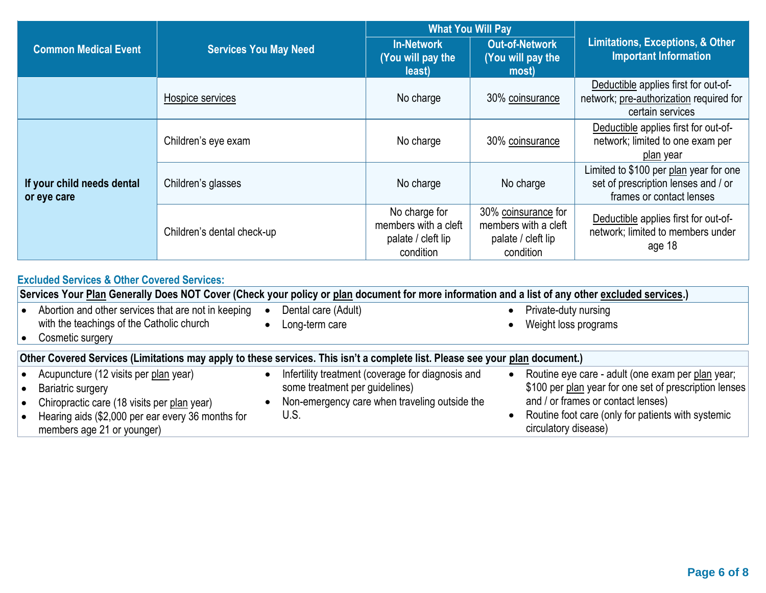|                                           |                              | <b>What You Will Pay</b>                                                 |                                                                                |                                                                                                           |  |
|-------------------------------------------|------------------------------|--------------------------------------------------------------------------|--------------------------------------------------------------------------------|-----------------------------------------------------------------------------------------------------------|--|
| <b>Common Medical Event</b>               | <b>Services You May Need</b> | <b>In-Network</b><br>(You will pay the<br>least)                         | <b>Out-of-Network</b><br>(You will pay the<br>most)                            | <b>Limitations, Exceptions, &amp; Other</b><br><b>Important Information</b>                               |  |
|                                           | Hospice services             | No charge                                                                | 30% coinsurance                                                                | Deductible applies first for out-of-<br>network; pre-authorization required for<br>certain services       |  |
|                                           | Children's eye exam          | No charge                                                                | 30% coinsurance                                                                | Deductible applies first for out-of-<br>network; limited to one exam per<br>plan year                     |  |
| If your child needs dental<br>or eye care | Children's glasses           | No charge                                                                | No charge                                                                      | Limited to \$100 per plan year for one<br>set of prescription lenses and / or<br>frames or contact lenses |  |
|                                           | Children's dental check-up   | No charge for<br>members with a cleft<br>palate / cleft lip<br>condition | 30% coinsurance for<br>members with a cleft<br>palate / cleft lip<br>condition | Deductible applies first for out-of-<br>network; limited to members under<br>age 18                       |  |

## **Excluded Services & Other Covered Services:**

|                        | Services Your Plan Generally Does NOT Cover (Check your policy or plan document for more information and a list of any other excluded services.)                                                    |           |                                                                                                                                              |  |                                                                                                                                                                                                                                 |  |  |
|------------------------|-----------------------------------------------------------------------------------------------------------------------------------------------------------------------------------------------------|-----------|----------------------------------------------------------------------------------------------------------------------------------------------|--|---------------------------------------------------------------------------------------------------------------------------------------------------------------------------------------------------------------------------------|--|--|
|                        | Abortion and other services that are not in keeping<br>with the teachings of the Catholic church<br>Cosmetic surgery                                                                                |           | Dental care (Adult)<br>Long-term care                                                                                                        |  | Private-duty nursing<br>Weight loss programs                                                                                                                                                                                    |  |  |
|                        | Other Covered Services (Limitations may apply to these services. This isn't a complete list. Please see your plan document.)                                                                        |           |                                                                                                                                              |  |                                                                                                                                                                                                                                 |  |  |
| $\bullet$<br>$\bullet$ | Acupuncture (12 visits per plan year)<br><b>Bariatric surgery</b><br>Chiropractic care (18 visits per plan year)<br>Hearing aids (\$2,000 per ear every 36 months for<br>members age 21 or younger) | $\bullet$ | Infertility treatment (coverage for diagnosis and<br>some treatment per guidelines)<br>Non-emergency care when traveling outside the<br>U.S. |  | Routine eye care - adult (one exam per plan year;<br>\$100 per plan year for one set of prescription lenses<br>and / or frames or contact lenses)<br>Routine foot care (only for patients with systemic<br>circulatory disease) |  |  |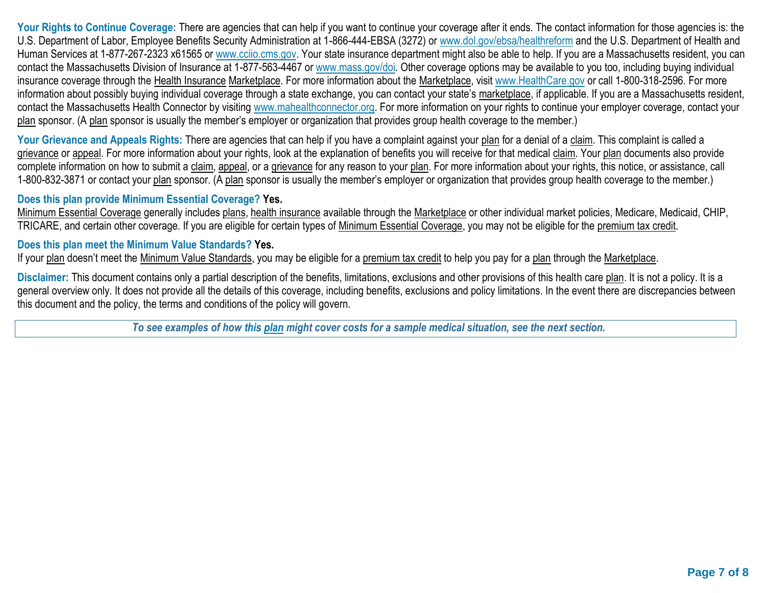Your Rights to Continue Coverage: There are agencies that can help if you want to continue your coverage after it ends. The contact information for those agencies is: the U.S. Department of Labor, Employee Benefits Security Administration at 1-866-444-EBSA (3272) or [www.dol.gov/ebsa/healthreform](http://www.dol.gov/ebsa/healthreform) and the U.S. Department of Health and Human Services at 1-877-267-2323 x61565 or [www.cciio.cms.gov.](http://www.cciio.cms.gov/) Your state insurance department might also be able to help. If you are a Massachusetts resident, you can contact the Massachusetts Division of Insurance at 1-877-563-4467 or [www.mass.gov/doi.](http://www.mass.gov/doi) Other coverage options may be available to you too, including buying individual insurance coverage through the Health Insurance Marketplace. For more information about the Marketplace, visit [www.HealthCare.gov](http://www.healthcare.gov/) or call 1-800-318-2596. For more information about possibly buying individual coverage through a state exchange, you can contact your state's marketplace, if applicable. If you are a Massachusetts resident, contact the Massachusetts Health Connector by visiting [www.mahealthconnector.org.](http://www.mahealthconnector.org/) For more information on your rights to continue your employer coverage, contact your plan sponsor. (A plan sponsor is usually the member's employer or organization that provides group health coverage to the member.)

Your Grievance and Appeals Rights: There are agencies that can help if you have a complaint against your plan for a denial of a claim. This complaint is called a grievance or appeal. For more information about your rights, look at the explanation of benefits you will receive for that medical claim. Your plan documents also provide complete information on how to submit a claim, appeal, or a grievance for any reason to your plan. For more information about your rights, this notice, or assistance, call 1-800-832-3871 or contact your plan sponsor. (A plan sponsor is usually the member's employer or organization that provides group health coverage to the member.)

## **Does this plan provide Minimum Essential Coverage? Yes.**

Minimum Essential Coverage generally includes plans, health insurance available through the Marketplace or other individual market policies, Medicare, Medicaid, CHIP, TRICARE, and certain other coverage. If you are eligible for certain types of Minimum Essential Coverage, you may not be eligible for the premium tax credit.

## **Does this plan meet the Minimum Value Standards? Yes.**

If your plan doesn't meet the Minimum Value Standards, you may be eligible for a premium tax credit to help you pay for a plan through the Marketplace.

**Disclaimer:** This document contains only a partial description of the benefits, limitations, exclusions and other provisions of this health care plan. It is not a policy. It is a general overview only. It does not provide all the details of this coverage, including benefits, exclusions and policy limitations. In the event there are discrepancies between this document and the policy, the terms and conditions of the policy will govern.

*To see examples of how this plan might cover costs for a sample medical situation, see the next section.*